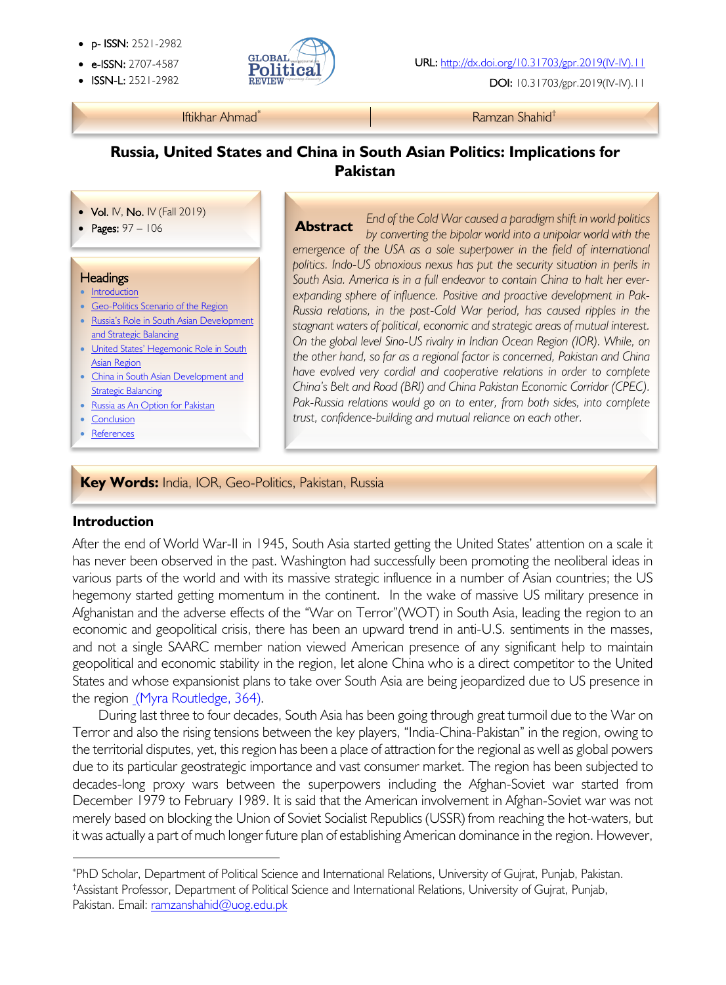- p- ISSN: 2521-2982
- 
- 



• ISSN-L: 2521-2982 DOI: 10.31703/gpr.2019(IV-IV).11

#### Iftikhar Ahmad\* Ramzan Shahid†

## **Russia, United States and China in South Asian Politics: Implications for Pakistan**

#### • Vol. IV, No. IV (Fall 2019)

• Pages: 97 – 106

#### **Headings**

į

- Introduction
- Geo-Politics Scenario of the Region
- Russia's Role in South Asian Development and Strategic Balancing
- United States' Hegemonic Role in South Asian Region
- China in South Asian Development and Strategic Balancing
- Russia as An Option for Pakistan
- Conclusion
- References

*End of the Cold War caused a paradigm shift in world politics by converting the bipolar world into a unipolar world with the*  emergence of the USA as a sole superpower in the field of international politics. Indo-US obnoxious nexus has put the security situation in perils in *South Asia. America is in a full endeavor to contain China to halt her everexpanding sphere of influence. Positive and proactive development in Pak-Russia relations, in the post-Cold War period, has caused ripples in the stagnant waters of political, economic and strategic areas of mutual interest. On the global level Sino-US rivalry in Indian Ocean Region (IOR). While, on the other hand, so far as a regional factor is concerned, Pakistan and China have evolved very cordial and cooperative relations in order to complete China's Belt and Road (BRI) and China Pakistan Economic Corridor (CPEC).*  Pak-Russia relations would go on to enter, from both sides, into complete *trust, confidence-building and mutual reliance on each other.*  **Abstract**

#### **Key Words:** India, IOR, Geo-Politics, Pakistan, Russia

#### **Introduction**

After the end of World War-II in 1945, South Asia started getting the United States' attention on a scale it has never been observed in the past. Washington had successfully been promoting the neoliberal ideas in various parts of the world and with its massive strategic influence in a number of Asian countries; the US hegemony started getting momentum in the continent. In the wake of massive US military presence in Afghanistan and the adverse effects of the "War on Terror"(WOT) in South Asia, leading the region to an economic and geopolitical crisis, there has been an upward trend in anti-U.S. sentiments in the masses, and not a single SAARC member nation viewed American presence of any significant help to maintain geopolitical and economic stability in the region, let alone China who is a direct competitor to the United States and whose expansionist plans to take over South Asia are being jeopardized due to US presence in the region (Myra Routledge, 364).

During last three to four decades, South Asia has been going through great turmoil due to the War on Terror and also the rising tensions between the key players, "India-China-Pakistan" in the region, owing to the territorial disputes, yet, this region has been a place of attraction for the regional as well as global powers due to its particular geostrategic importance and vast consumer market. The region has been subjected to decades-long proxy wars between the superpowers including the Afghan-Soviet war started from December 1979 to February 1989. It is said that the American involvement in Afghan-Soviet war was not merely based on blocking the Union of Soviet Socialist Republics (USSR) from reaching the hot-waters, but it was actually a part of much longer future plan of establishing American dominance in the region. However,

<sup>\*</sup> PhD Scholar, Department of Political Science and International Relations, University of Gujrat, Punjab, Pakistan. † Assistant Professor, Department of Political Science and International Relations, University of Gujrat, Punjab, Pakistan. Email: ramzanshahid@uog.edu.pk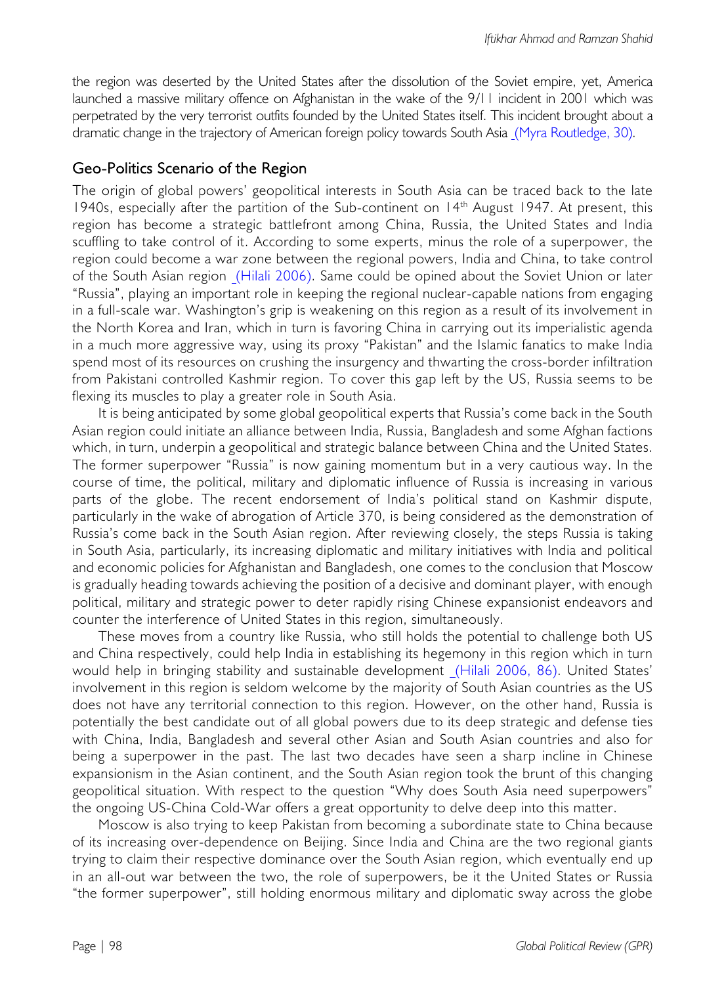the region was deserted by the United States after the dissolution of the Soviet empire, yet, America launched a massive military offence on Afghanistan in the wake of the 9/11 incident in 2001 which was perpetrated by the very terrorist outfits founded by the United States itself. This incident brought about a dramatic change in the trajectory of American foreign policy towards South Asia (Myra Routledge, 30).

## Geo-Politics Scenario of the Region

The origin of global powers' geopolitical interests in South Asia can be traced back to the late 1940s, especially after the partition of the Sub-continent on 14<sup>th</sup> August 1947. At present, this region has become a strategic battlefront among China, Russia, the United States and India scuffling to take control of it. According to some experts, minus the role of a superpower, the region could become a war zone between the regional powers, India and China, to take control of the South Asian region (Hilali 2006). Same could be opined about the Soviet Union or later "Russia", playing an important role in keeping the regional nuclear-capable nations from engaging in a full-scale war. Washington's grip is weakening on this region as a result of its involvement in the North Korea and Iran, which in turn is favoring China in carrying out its imperialistic agenda in a much more aggressive way, using its proxy "Pakistan" and the Islamic fanatics to make India spend most of its resources on crushing the insurgency and thwarting the cross-border infiltration from Pakistani controlled Kashmir region. To cover this gap left by the US, Russia seems to be flexing its muscles to play a greater role in South Asia.

It is being anticipated by some global geopolitical experts that Russia's come back in the South Asian region could initiate an alliance between India, Russia, Bangladesh and some Afghan factions which, in turn, underpin a geopolitical and strategic balance between China and the United States. The former superpower "Russia" is now gaining momentum but in a very cautious way. In the course of time, the political, military and diplomatic influence of Russia is increasing in various parts of the globe. The recent endorsement of India's political stand on Kashmir dispute, particularly in the wake of abrogation of Article 370, is being considered as the demonstration of Russia's come back in the South Asian region. After reviewing closely, the steps Russia is taking in South Asia, particularly, its increasing diplomatic and military initiatives with India and political and economic policies for Afghanistan and Bangladesh, one comes to the conclusion that Moscow is gradually heading towards achieving the position of a decisive and dominant player, with enough political, military and strategic power to deter rapidly rising Chinese expansionist endeavors and counter the interference of United States in this region, simultaneously.

These moves from a country like Russia, who still holds the potential to challenge both US and China respectively, could help India in establishing its hegemony in this region which in turn would help in bringing stability and sustainable development (Hilali 2006, 86). United States' involvement in this region is seldom welcome by the majority of South Asian countries as the US does not have any territorial connection to this region. However, on the other hand, Russia is potentially the best candidate out of all global powers due to its deep strategic and defense ties with China, India, Bangladesh and several other Asian and South Asian countries and also for being a superpower in the past. The last two decades have seen a sharp incline in Chinese expansionism in the Asian continent, and the South Asian region took the brunt of this changing geopolitical situation. With respect to the question "Why does South Asia need superpowers" the ongoing US-China Cold-War offers a great opportunity to delve deep into this matter.

Moscow is also trying to keep Pakistan from becoming a subordinate state to China because of its increasing over-dependence on Beijing. Since India and China are the two regional giants trying to claim their respective dominance over the South Asian region, which eventually end up in an all-out war between the two, the role of superpowers, be it the United States or Russia "the former superpower", still holding enormous military and diplomatic sway across the globe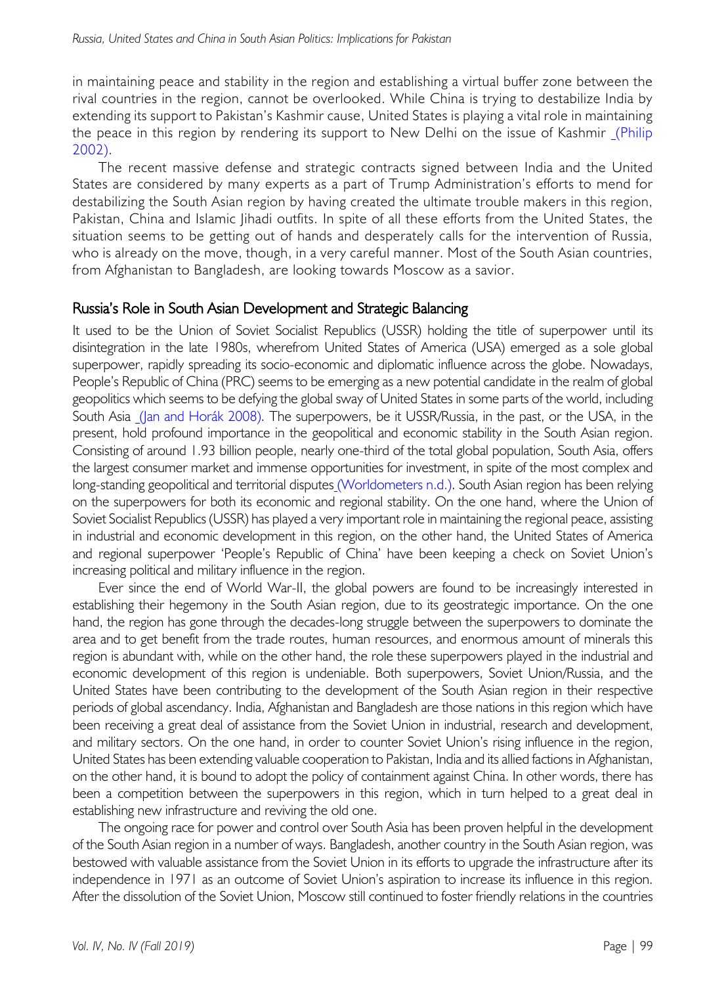in maintaining peace and stability in the region and establishing a virtual buffer zone between the rival countries in the region, cannot be overlooked. While China is trying to destabilize India by extending its support to Pakistan's Kashmir cause, United States is playing a vital role in maintaining the peace in this region by rendering its support to New Delhi on the issue of Kashmir (Philip 2002).

The recent massive defense and strategic contracts signed between India and the United States are considered by many experts as a part of Trump Administration's efforts to mend for destabilizing the South Asian region by having created the ultimate trouble makers in this region, Pakistan, China and Islamic lihadi outfits. In spite of all these efforts from the United States, the situation seems to be getting out of hands and desperately calls for the intervention of Russia, who is already on the move, though, in a very careful manner. Most of the South Asian countries, from Afghanistan to Bangladesh, are looking towards Moscow as a savior.

### Russia's Role in South Asian Development and Strategic Balancing

It used to be the Union of Soviet Socialist Republics (USSR) holding the title of superpower until its disintegration in the late 1980s, wherefrom United States of America (USA) emerged as a sole global superpower, rapidly spreading its socio-economic and diplomatic influence across the globe. Nowadays, People's Republic of China (PRC) seems to be emerging as a new potential candidate in the realm of global geopolitics which seems to be defying the global sway of United States in some parts of the world, including South Asia (Jan and Horák 2008). The superpowers, be it USSR/Russia, in the past, or the USA, in the present, hold profound importance in the geopolitical and economic stability in the South Asian region. Consisting of around 1.93 billion people, nearly one-third of the total global population, South Asia, offers the largest consumer market and immense opportunities for investment, in spite of the most complex and long-standing geopolitical and territorial disputes (Worldometers n.d.). South Asian region has been relying on the superpowers for both its economic and regional stability. On the one hand, where the Union of Soviet Socialist Republics (USSR) has played a very important role in maintaining the regional peace, assisting in industrial and economic development in this region, on the other hand, the United States of America and regional superpower 'People's Republic of China' have been keeping a check on Soviet Union's increasing political and military influence in the region.

Ever since the end of World War-II, the global powers are found to be increasingly interested in establishing their hegemony in the South Asian region, due to its geostrategic importance. On the one hand, the region has gone through the decades-long struggle between the superpowers to dominate the area and to get benefit from the trade routes, human resources, and enormous amount of minerals this region is abundant with, while on the other hand, the role these superpowers played in the industrial and economic development of this region is undeniable. Both superpowers, Soviet Union/Russia, and the United States have been contributing to the development of the South Asian region in their respective periods of global ascendancy. India, Afghanistan and Bangladesh are those nations in this region which have been receiving a great deal of assistance from the Soviet Union in industrial, research and development, and military sectors. On the one hand, in order to counter Soviet Union's rising influence in the region, United States has been extending valuable cooperation to Pakistan, India and its allied factions in Afghanistan, on the other hand, it is bound to adopt the policy of containment against China. In other words, there has been a competition between the superpowers in this region, which in turn helped to a great deal in establishing new infrastructure and reviving the old one.

The ongoing race for power and control over South Asia has been proven helpful in the development of the South Asian region in a number of ways. Bangladesh, another country in the South Asian region, was bestowed with valuable assistance from the Soviet Union in its efforts to upgrade the infrastructure after its independence in 1971 as an outcome of Soviet Union's aspiration to increase its influence in this region. After the dissolution of the Soviet Union, Moscow still continued to foster friendly relations in the countries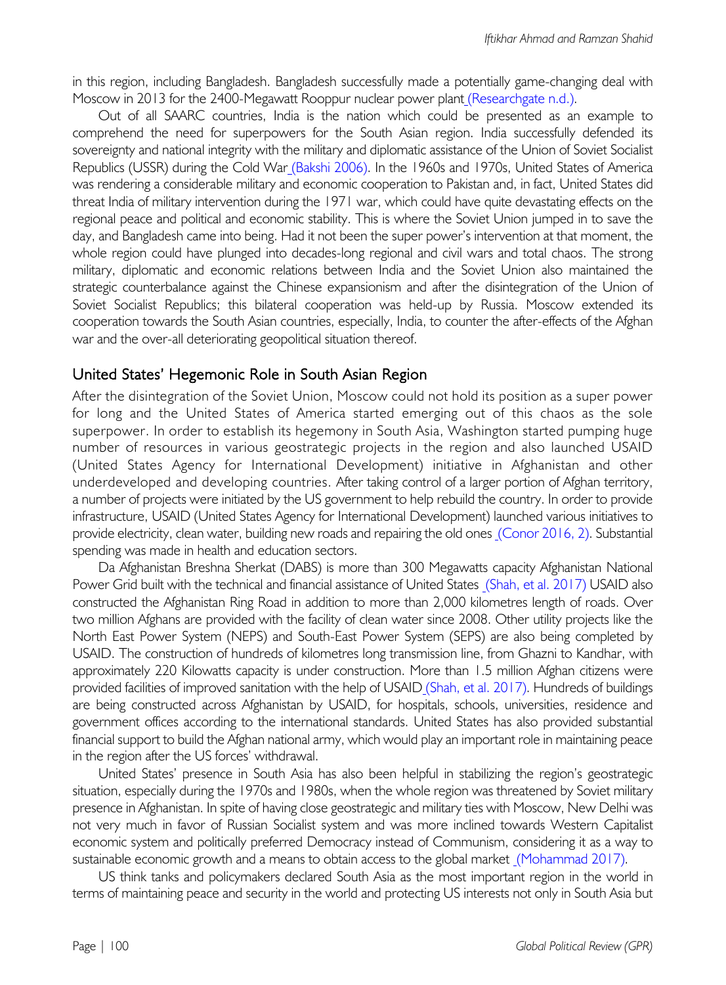in this region, including Bangladesh. Bangladesh successfully made a potentially game-changing deal with Moscow in 2013 for the 2400-Megawatt Rooppur nuclear power plant (Researchgate n.d.).

Out of all SAARC countries, India is the nation which could be presented as an example to comprehend the need for superpowers for the South Asian region. India successfully defended its sovereignty and national integrity with the military and diplomatic assistance of the Union of Soviet Socialist Republics (USSR) during the Cold War (Bakshi 2006). In the 1960s and 1970s, United States of America was rendering a considerable military and economic cooperation to Pakistan and, in fact, United States did threat India of military intervention during the 1971 war, which could have quite devastating effects on the regional peace and political and economic stability. This is where the Soviet Union jumped in to save the day, and Bangladesh came into being. Had it not been the super power's intervention at that moment, the whole region could have plunged into decades-long regional and civil wars and total chaos. The strong military, diplomatic and economic relations between India and the Soviet Union also maintained the strategic counterbalance against the Chinese expansionism and after the disintegration of the Union of Soviet Socialist Republics; this bilateral cooperation was held-up by Russia. Moscow extended its cooperation towards the South Asian countries, especially, India, to counter the after-effects of the Afghan war and the over-all deteriorating geopolitical situation thereof.

### United States' Hegemonic Role in South Asian Region

After the disintegration of the Soviet Union, Moscow could not hold its position as a super power for long and the United States of America started emerging out of this chaos as the sole superpower. In order to establish its hegemony in South Asia, Washington started pumping huge number of resources in various geostrategic projects in the region and also launched USAID (United States Agency for International Development) initiative in Afghanistan and other underdeveloped and developing countries. After taking control of a larger portion of Afghan territory, a number of projects were initiated by the US government to help rebuild the country. In order to provide infrastructure, USAID (United States Agency for International Development) launched various initiatives to provide electricity, clean water, building new roads and repairing the old ones (Conor 2016, 2). Substantial spending was made in health and education sectors.

Da Afghanistan Breshna Sherkat (DABS) is more than 300 Megawatts capacity Afghanistan National Power Grid built with the technical and financial assistance of United States (Shah, et al. 2017) USAID also constructed the Afghanistan Ring Road in addition to more than 2,000 kilometres length of roads. Over two million Afghans are provided with the facility of clean water since 2008. Other utility projects like the North East Power System (NEPS) and South-East Power System (SEPS) are also being completed by USAID. The construction of hundreds of kilometres long transmission line, from Ghazni to Kandhar, with approximately 220 Kilowatts capacity is under construction. More than 1.5 million Afghan citizens were provided facilities of improved sanitation with the help of USAID (Shah, et al. 2017). Hundreds of buildings are being constructed across Afghanistan by USAID, for hospitals, schools, universities, residence and government offices according to the international standards. United States has also provided substantial financial support to build the Afghan national army, which would play an important role in maintaining peace in the region after the US forces' withdrawal.

United States' presence in South Asia has also been helpful in stabilizing the region's geostrategic situation, especially during the 1970s and 1980s, when the whole region was threatened by Soviet military presence in Afghanistan. In spite of having close geostrategic and military ties with Moscow, New Delhi was not very much in favor of Russian Socialist system and was more inclined towards Western Capitalist economic system and politically preferred Democracy instead of Communism, considering it as a way to sustainable economic growth and a means to obtain access to the global market (Mohammad 2017).

US think tanks and policymakers declared South Asia as the most important region in the world in terms of maintaining peace and security in the world and protecting US interests not only in South Asia but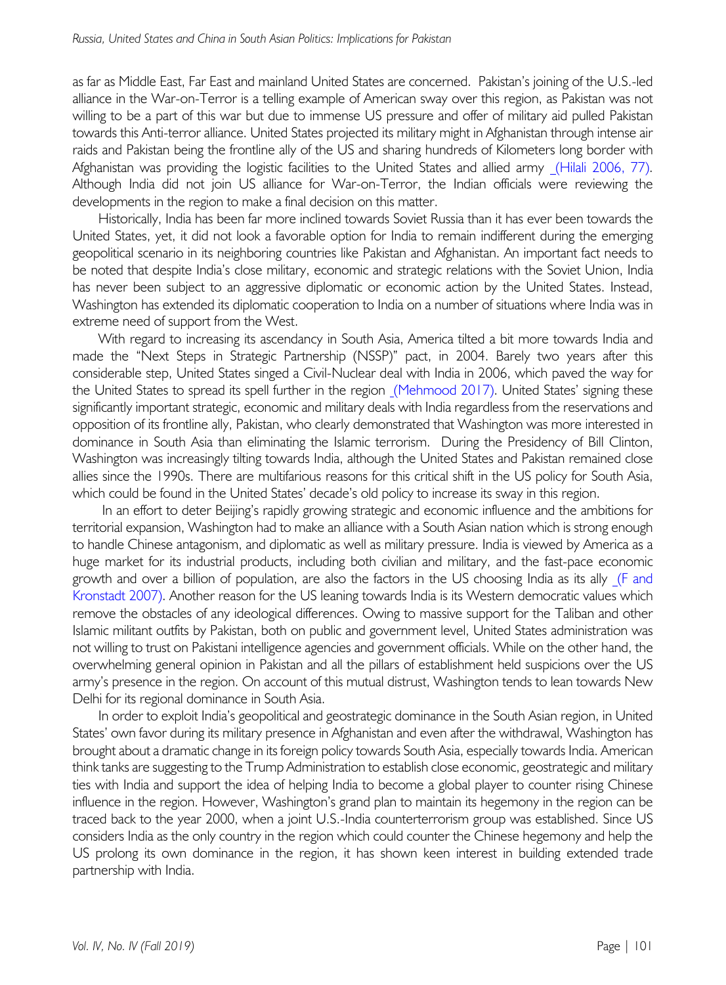as far as Middle East, Far East and mainland United States are concerned. Pakistan's joining of the U.S.-led alliance in the War-on-Terror is a telling example of American sway over this region, as Pakistan was not willing to be a part of this war but due to immense US pressure and offer of military aid pulled Pakistan towards this Anti-terror alliance. United States projected its military might in Afghanistan through intense air raids and Pakistan being the frontline ally of the US and sharing hundreds of Kilometers long border with Afghanistan was providing the logistic facilities to the United States and allied army (Hilali 2006, 77). Although India did not join US alliance for War-on-Terror, the Indian officials were reviewing the developments in the region to make a final decision on this matter.

Historically, India has been far more inclined towards Soviet Russia than it has ever been towards the United States, yet, it did not look a favorable option for India to remain indifferent during the emerging geopolitical scenario in its neighboring countries like Pakistan and Afghanistan. An important fact needs to be noted that despite India's close military, economic and strategic relations with the Soviet Union, India has never been subject to an aggressive diplomatic or economic action by the United States. Instead, Washington has extended its diplomatic cooperation to India on a number of situations where India was in extreme need of support from the West.

With regard to increasing its ascendancy in South Asia, America tilted a bit more towards India and made the "Next Steps in Strategic Partnership (NSSP)" pact, in 2004. Barely two years after this considerable step, United States singed a Civil-Nuclear deal with India in 2006, which paved the way for the United States to spread its spell further in the region (Mehmood 2017). United States' signing these significantly important strategic, economic and military deals with India regardless from the reservations and opposition of its frontline ally, Pakistan, who clearly demonstrated that Washington was more interested in dominance in South Asia than eliminating the Islamic terrorism. During the Presidency of Bill Clinton, Washington was increasingly tilting towards India, although the United States and Pakistan remained close allies since the 1990s. There are multifarious reasons for this critical shift in the US policy for South Asia, which could be found in the United States' decade's old policy to increase its sway in this region.

In an effort to deter Beijing's rapidly growing strategic and economic influence and the ambitions for territorial expansion, Washington had to make an alliance with a South Asian nation which is strong enough to handle Chinese antagonism, and diplomatic as well as military pressure. India is viewed by America as a huge market for its industrial products, including both civilian and military, and the fast-pace economic growth and over a billion of population, are also the factors in the US choosing India as its ally (F and Kronstadt 2007). Another reason for the US leaning towards India is its Western democratic values which remove the obstacles of any ideological differences. Owing to massive support for the Taliban and other Islamic militant outfits by Pakistan, both on public and government level, United States administration was not willing to trust on Pakistani intelligence agencies and government officials. While on the other hand, the overwhelming general opinion in Pakistan and all the pillars of establishment held suspicions over the US army's presence in the region. On account of this mutual distrust, Washington tends to lean towards New Delhi for its regional dominance in South Asia.

In order to exploit India's geopolitical and geostrategic dominance in the South Asian region, in United States' own favor during its military presence in Afghanistan and even after the withdrawal, Washington has brought about a dramatic change in its foreign policy towards South Asia, especially towards India. American think tanks are suggesting to the Trump Administration to establish close economic, geostrategic and military ties with India and support the idea of helping India to become a global player to counter rising Chinese influence in the region. However, Washington's grand plan to maintain its hegemony in the region can be traced back to the year 2000, when a joint U.S.-India counterterrorism group was established. Since US considers India as the only country in the region which could counter the Chinese hegemony and help the US prolong its own dominance in the region, it has shown keen interest in building extended trade partnership with India.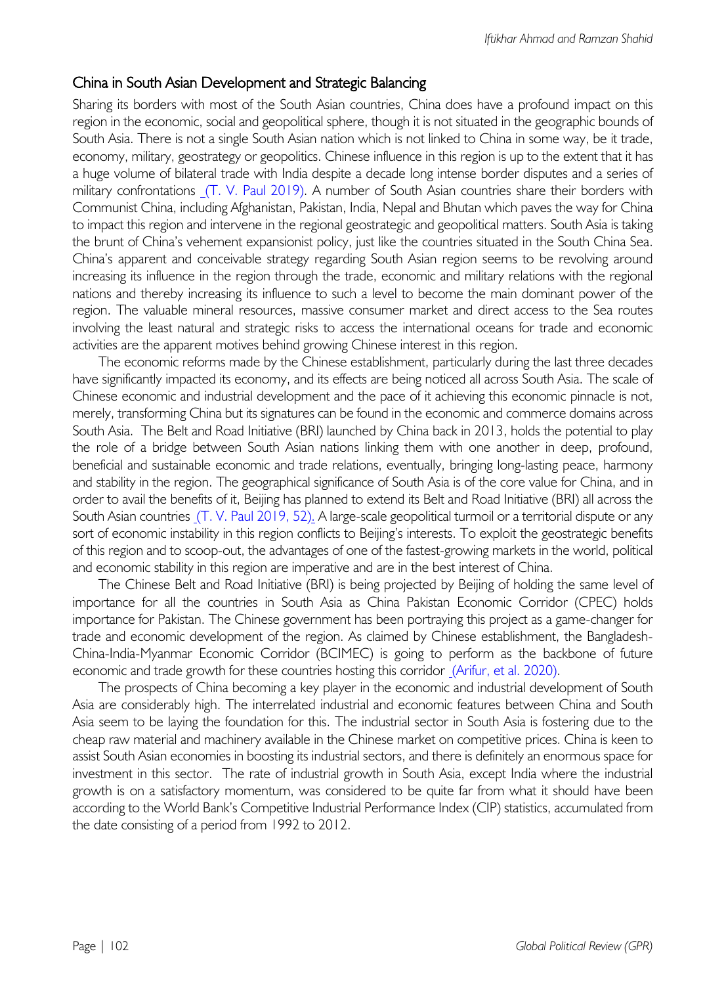## China in South Asian Development and Strategic Balancing

Sharing its borders with most of the South Asian countries, China does have a profound impact on this region in the economic, social and geopolitical sphere, though it is not situated in the geographic bounds of South Asia. There is not a single South Asian nation which is not linked to China in some way, be it trade, economy, military, geostrategy or geopolitics. Chinese influence in this region is up to the extent that it has a huge volume of bilateral trade with India despite a decade long intense border disputes and a series of military confrontations (T. V. Paul 2019). A number of South Asian countries share their borders with Communist China, including Afghanistan, Pakistan, India, Nepal and Bhutan which paves the way for China to impact this region and intervene in the regional geostrategic and geopolitical matters. South Asia is taking the brunt of China's vehement expansionist policy, just like the countries situated in the South China Sea. China's apparent and conceivable strategy regarding South Asian region seems to be revolving around increasing its influence in the region through the trade, economic and military relations with the regional nations and thereby increasing its influence to such a level to become the main dominant power of the region. The valuable mineral resources, massive consumer market and direct access to the Sea routes involving the least natural and strategic risks to access the international oceans for trade and economic activities are the apparent motives behind growing Chinese interest in this region.

The economic reforms made by the Chinese establishment, particularly during the last three decades have significantly impacted its economy, and its effects are being noticed all across South Asia. The scale of Chinese economic and industrial development and the pace of it achieving this economic pinnacle is not, merely, transforming China but its signatures can be found in the economic and commerce domains across South Asia. The Belt and Road Initiative (BRI) launched by China back in 2013, holds the potential to play the role of a bridge between South Asian nations linking them with one another in deep, profound, beneficial and sustainable economic and trade relations, eventually, bringing long-lasting peace, harmony and stability in the region. The geographical significance of South Asia is of the core value for China, and in order to avail the benefits of it, Beijing has planned to extend its Belt and Road Initiative (BRI) all across the South Asian countries (T. V. Paul 2019, 52). A large-scale geopolitical turmoil or a territorial dispute or any sort of economic instability in this region conflicts to Beijing's interests. To exploit the geostrategic benefits of this region and to scoop-out, the advantages of one of the fastest-growing markets in the world, political and economic stability in this region are imperative and are in the best interest of China.

The Chinese Belt and Road Initiative (BRI) is being projected by Beijing of holding the same level of importance for all the countries in South Asia as China Pakistan Economic Corridor (CPEC) holds importance for Pakistan. The Chinese government has been portraying this project as a game-changer for trade and economic development of the region. As claimed by Chinese establishment, the Bangladesh-China-India-Myanmar Economic Corridor (BCIMEC) is going to perform as the backbone of future economic and trade growth for these countries hosting this corridor (Arifur, et al. 2020).

The prospects of China becoming a key player in the economic and industrial development of South Asia are considerably high. The interrelated industrial and economic features between China and South Asia seem to be laying the foundation for this. The industrial sector in South Asia is fostering due to the cheap raw material and machinery available in the Chinese market on competitive prices. China is keen to assist South Asian economies in boosting its industrial sectors, and there is definitely an enormous space for investment in this sector. The rate of industrial growth in South Asia, except India where the industrial growth is on a satisfactory momentum, was considered to be quite far from what it should have been according to the World Bank's Competitive Industrial Performance Index (CIP) statistics, accumulated from the date consisting of a period from 1992 to 2012.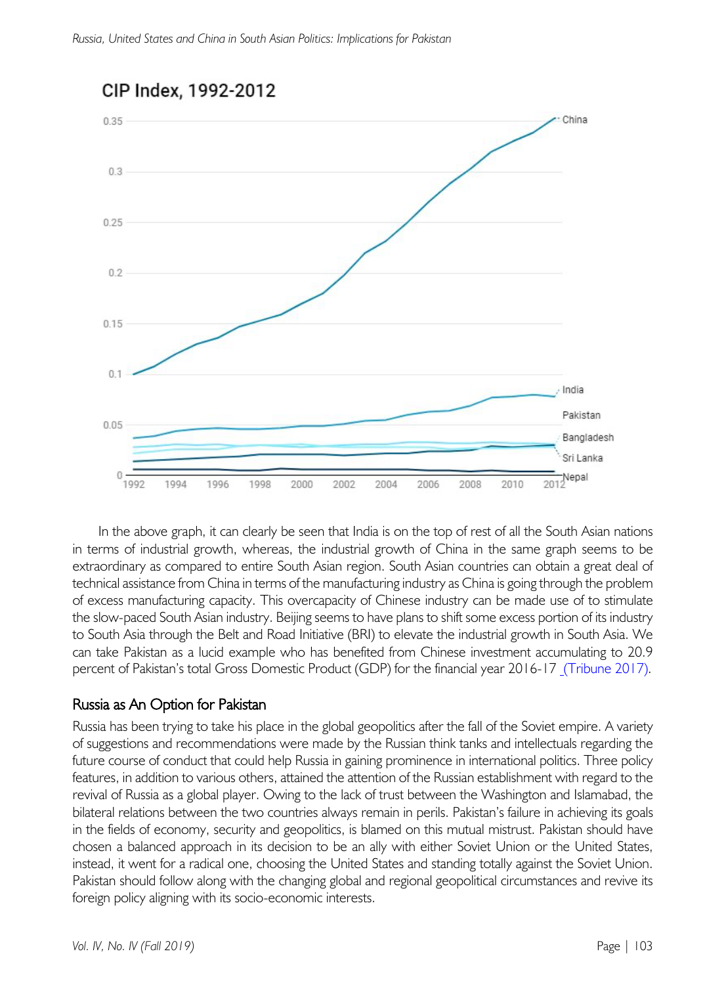

# CIP Index, 1992-2012

In the above graph, it can clearly be seen that India is on the top of rest of all the South Asian nations in terms of industrial growth, whereas, the industrial growth of China in the same graph seems to be extraordinary as compared to entire South Asian region. South Asian countries can obtain a great deal of technical assistance from China in terms of the manufacturing industry as China is going through the problem of excess manufacturing capacity. This overcapacity of Chinese industry can be made use of to stimulate the slow-paced South Asian industry. Beijing seems to have plans to shift some excess portion of its industry to South Asia through the Belt and Road Initiative (BRI) to elevate the industrial growth in South Asia. We can take Pakistan as a lucid example who has benefited from Chinese investment accumulating to 20.9 percent of Pakistan's total Gross Domestic Product (GDP) for the financial year 2016-17 (Tribune 2017).

## Russia as An Option for Pakistan

Russia has been trying to take his place in the global geopolitics after the fall of the Soviet empire. A variety of suggestions and recommendations were made by the Russian think tanks and intellectuals regarding the future course of conduct that could help Russia in gaining prominence in international politics. Three policy features, in addition to various others, attained the attention of the Russian establishment with regard to the revival of Russia as a global player. Owing to the lack of trust between the Washington and Islamabad, the bilateral relations between the two countries always remain in perils. Pakistan's failure in achieving its goals in the fields of economy, security and geopolitics, is blamed on this mutual mistrust. Pakistan should have chosen a balanced approach in its decision to be an ally with either Soviet Union or the United States, instead, it went for a radical one, choosing the United States and standing totally against the Soviet Union. Pakistan should follow along with the changing global and regional geopolitical circumstances and revive its foreign policy aligning with its socio-economic interests.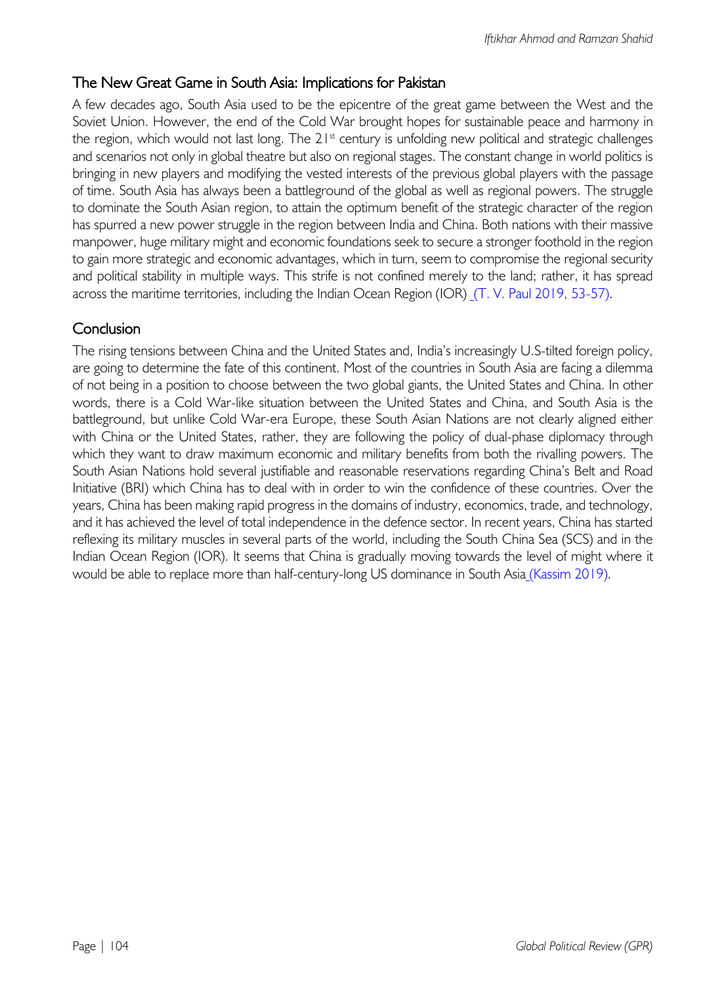# The New Great Game in South Asia: Implications for Pakistan

A few decades ago, South Asia used to be the epicentre of the great game between the West and the Soviet Union. However, the end of the Cold War brought hopes for sustainable peace and harmony in the region, which would not last long. The  $21<sup>st</sup>$  century is unfolding new political and strategic challenges and scenarios not only in global theatre but also on regional stages. The constant change in world politics is bringing in new players and modifying the vested interests of the previous global players with the passage of time. South Asia has always been a battleground of the global as well as regional powers. The struggle to dominate the South Asian region, to attain the optimum benefit of the strategic character of the region has spurred a new power struggle in the region between India and China. Both nations with their massive manpower, huge military might and economic foundations seek to secure a stronger foothold in the region to gain more strategic and economic advantages, which in turn, seem to compromise the regional security and political stability in multiple ways. This strife is not confined merely to the land; rather, it has spread across the maritime territories, including the Indian Ocean Region (IOR) (T. V. Paul 2019, 53-57).

# Conclusion

The rising tensions between China and the United States and, India's increasingly U.S-tilted foreign policy, are going to determine the fate of this continent. Most of the countries in South Asia are facing a dilemma of not being in a position to choose between the two global giants, the United States and China. In other words, there is a Cold War-like situation between the United States and China, and South Asia is the battleground, but unlike Cold War-era Europe, these South Asian Nations are not clearly aligned either with China or the United States, rather, they are following the policy of dual-phase diplomacy through which they want to draw maximum economic and military benefits from both the rivalling powers. The South Asian Nations hold several justifiable and reasonable reservations regarding China's Belt and Road Initiative (BRI) which China has to deal with in order to win the confidence of these countries. Over the years, China has been making rapid progress in the domains of industry, economics, trade, and technology, and it has achieved the level of total independence in the defence sector. In recent years, China has started reflexing its military muscles in several parts of the world, including the South China Sea (SCS) and in the Indian Ocean Region (IOR). It seems that China is gradually moving towards the level of might where it would be able to replace more than half-century-long US dominance in South Asia (Kassim 2019).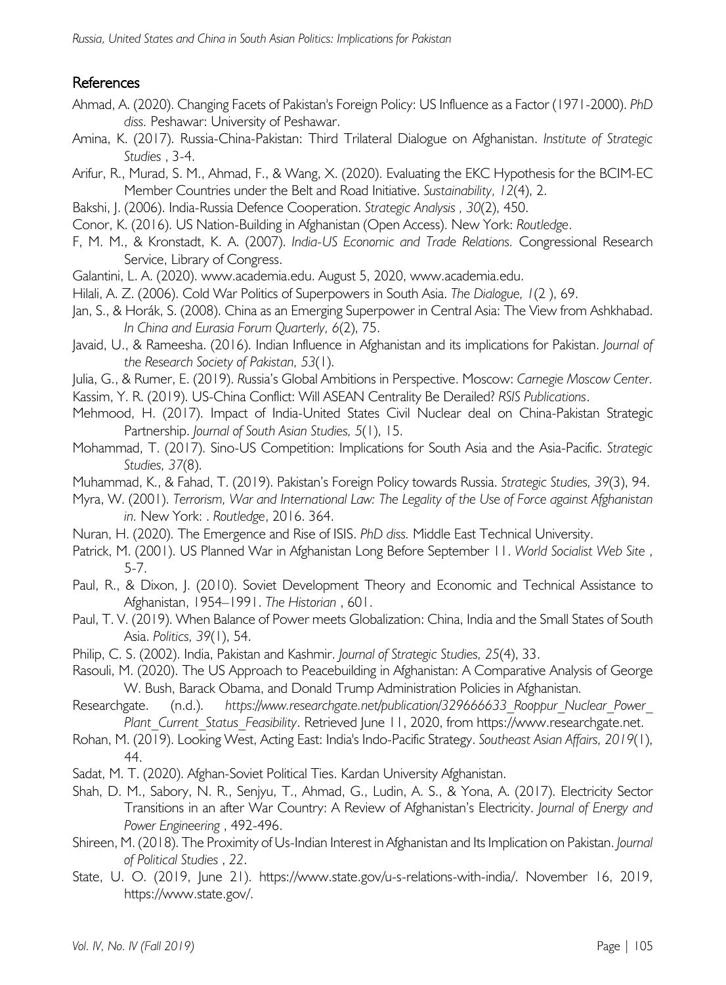# References

- Ahmad, A. (2020). Changing Facets of Pakistan's Foreign Policy: US Influence as a Factor (1971-2000). *PhD diss.* Peshawar: University of Peshawar.
- Amina, K. (2017). Russia-China-Pakistan: Third Trilateral Dialogue on Afghanistan. *Institute of Strategic Studies* , 3-4.
- Arifur, R., Murad, S. M., Ahmad, F., & Wang, X. (2020). Evaluating the EKC Hypothesis for the BCIM-EC Member Countries under the Belt and Road Initiative. *Sustainability, 12*(4), 2.
- Bakshi, J. (2006). India-Russia Defence Cooperation. *Strategic Analysis , 30*(2), 450.
- Conor, K. (2016). US Nation-Building in Afghanistan (Open Access). New York: *Routledge*.
- F, M. M., & Kronstadt, K. A. (2007). *India-US Economic and Trade Relations.* Congressional Research Service, Library of Congress.
- Galantini, L. A. (2020). www.academia.edu. August 5, 2020, www.academia.edu.
- Hilali, A. Z. (2006). Cold War Politics of Superpowers in South Asia. *The Dialogue, 1*(2 ), 69.
- Jan, S., & Horák, S. (2008). China as an Emerging Superpower in Central Asia: The View from Ashkhabad. *In China and Eurasia Forum Quarterly, 6*(2), 75.
- Javaid, U., & Rameesha. (2016). Indian Influence in Afghanistan and its implications for Pakistan. *Journal of the Research Society of Pakistan, 53*(1).
- Julia, G., & Rumer, E. (2019). *R*ussia's Global Ambitions in Perspective. Moscow: *Carnegie Moscow Center.*
- Kassim, Y. R. (2019). US-China Conflict: Will ASEAN Centrality Be Derailed? *RSIS Publications*.
- Mehmood, H. (2017). Impact of India-United States Civil Nuclear deal on China-Pakistan Strategic Partnership. *Journal of South Asian Studies, 5*(1), 15.
- Mohammad, T. (2017). Sino-US Competition: Implications for South Asia and the Asia-Pacific. *Strategic Studies, 37*(8).
- Muhammad, K., & Fahad, T. (2019). Pakistan's Foreign Policy towards Russia. *Strategic Studies, 39*(3), 94.
- Myra, W. (2001). *Terrorism, War and International Law: The Legality of the Use of Force against Afghanistan in.* New York: . *Routledge*, 2016. 364.
- Nuran, H. (2020). The Emergence and Rise of ISIS. *PhD diss.* Middle East Technical University.
- Patrick, M. (2001). US Planned War in Afghanistan Long Before September 11. *World Socialist Web Site* , 5-7.
- Paul, R., & Dixon, J. (2010). Soviet Development Theory and Economic and Technical Assistance to Afghanistan, 1954–1991. *The Historian* , 601.
- Paul, T. V. (2019). When Balance of Power meets Globalization: China, India and the Small States of South Asia. *Politics, 39*(1), 54.
- Philip, C. S. (2002). India, Pakistan and Kashmir. *Journal of Strategic Studies, 25*(4), 33.
- Rasouli, M. (2020). The US Approach to Peacebuilding in Afghanistan: A Comparative Analysis of George W. Bush, Barack Obama, and Donald Trump Administration Policies in Afghanistan*.*

Researchgate. (n.d.). *https://www.researchgate.net/publication/329666633 Rooppur Nuclear Power Plant\_Current\_Status\_Feasibility*. Retrieved June 11, 2020, from https://www.researchgate.net.

- Rohan, M. (2019). Looking West, Acting East: India's Indo-Pacific Strategy. *Southeast Asian Affairs, 2019*(1), 44.
- Sadat, M. T. (2020). Afghan-Soviet Political Ties. Kardan University Afghanistan.
- Shah, D. M., Sabory, N. R., Senjyu, T., Ahmad, G., Ludin, A. S., & Yona, A. (2017). Electricity Sector Transitions in an after War Country: A Review of Afghanistan's Electricity. *Journal of Energy and Power Engineering* , 492-496.
- Shireen, M. (2018). The Proximity of Us-Indian Interest in Afghanistan and Its Implication on Pakistan. *Journal of Political Studies* , *22*.
- State, U. O. (2019, June 21). https://www.state.gov/u-s-relations-with-india/. November 16, 2019, https://www.state.gov/.